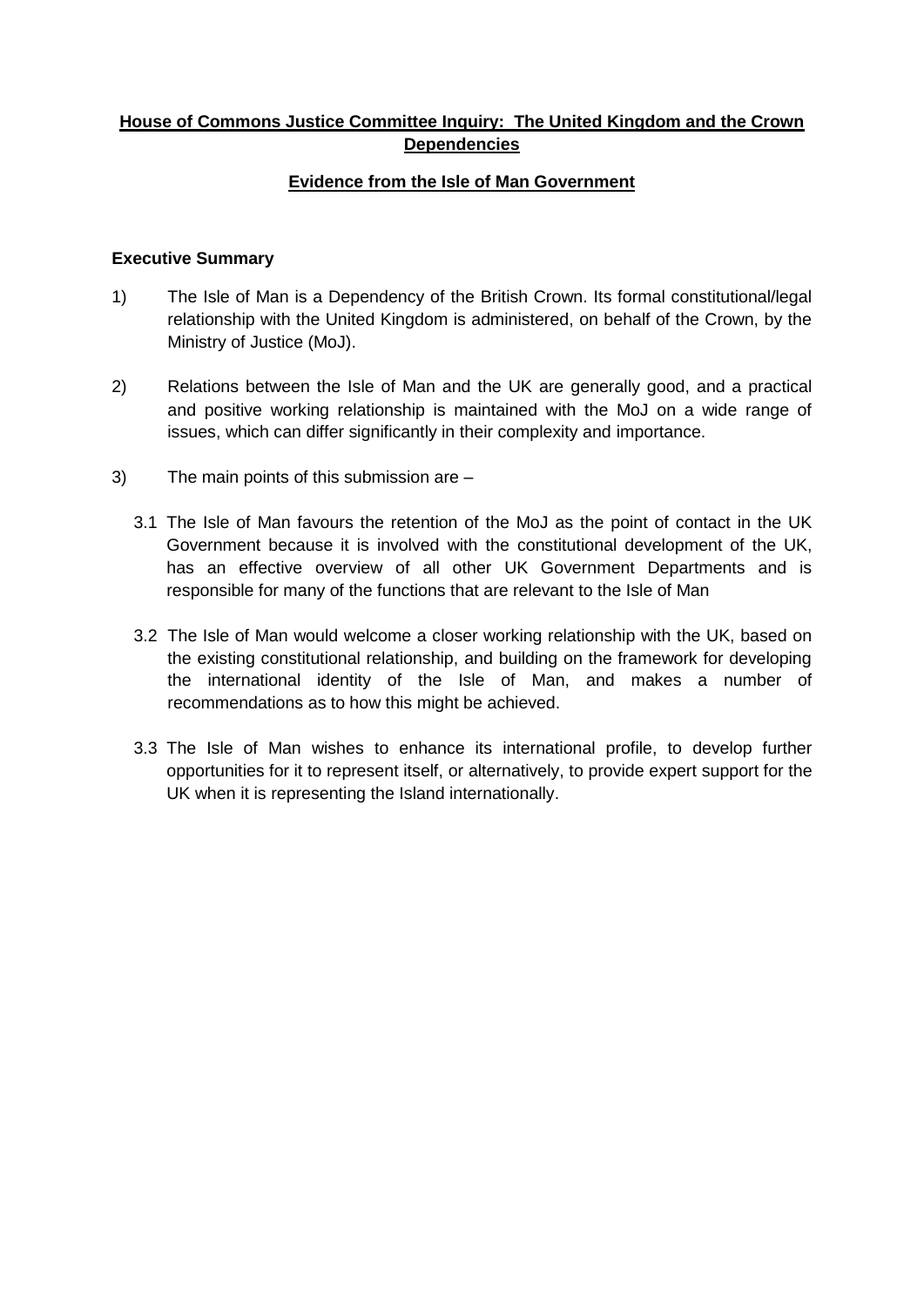# **House of Commons Justice Committee Inquiry: The United Kingdom and the Crown Dependencies**

## **Evidence from the Isle of Man Government**

#### **Executive Summary**

- 1) The Isle of Man is a Dependency of the British Crown. Its formal constitutional/legal relationship with the United Kingdom is administered, on behalf of the Crown, by the Ministry of Justice (MoJ).
- 2) Relations between the Isle of Man and the UK are generally good, and a practical and positive working relationship is maintained with the MoJ on a wide range of issues, which can differ significantly in their complexity and importance.
- 3) The main points of this submission are
	- 3.1 The Isle of Man favours the retention of the MoJ as the point of contact in the UK Government because it is involved with the constitutional development of the UK, has an effective overview of all other UK Government Departments and is responsible for many of the functions that are relevant to the Isle of Man
	- 3.2 The Isle of Man would welcome a closer working relationship with the UK, based on the existing constitutional relationship, and building on the framework for developing the international identity of the Isle of Man, and makes a number of recommendations as to how this might be achieved.
	- 3.3 The Isle of Man wishes to enhance its international profile, to develop further opportunities for it to represent itself, or alternatively, to provide expert support for the UK when it is representing the Island internationally.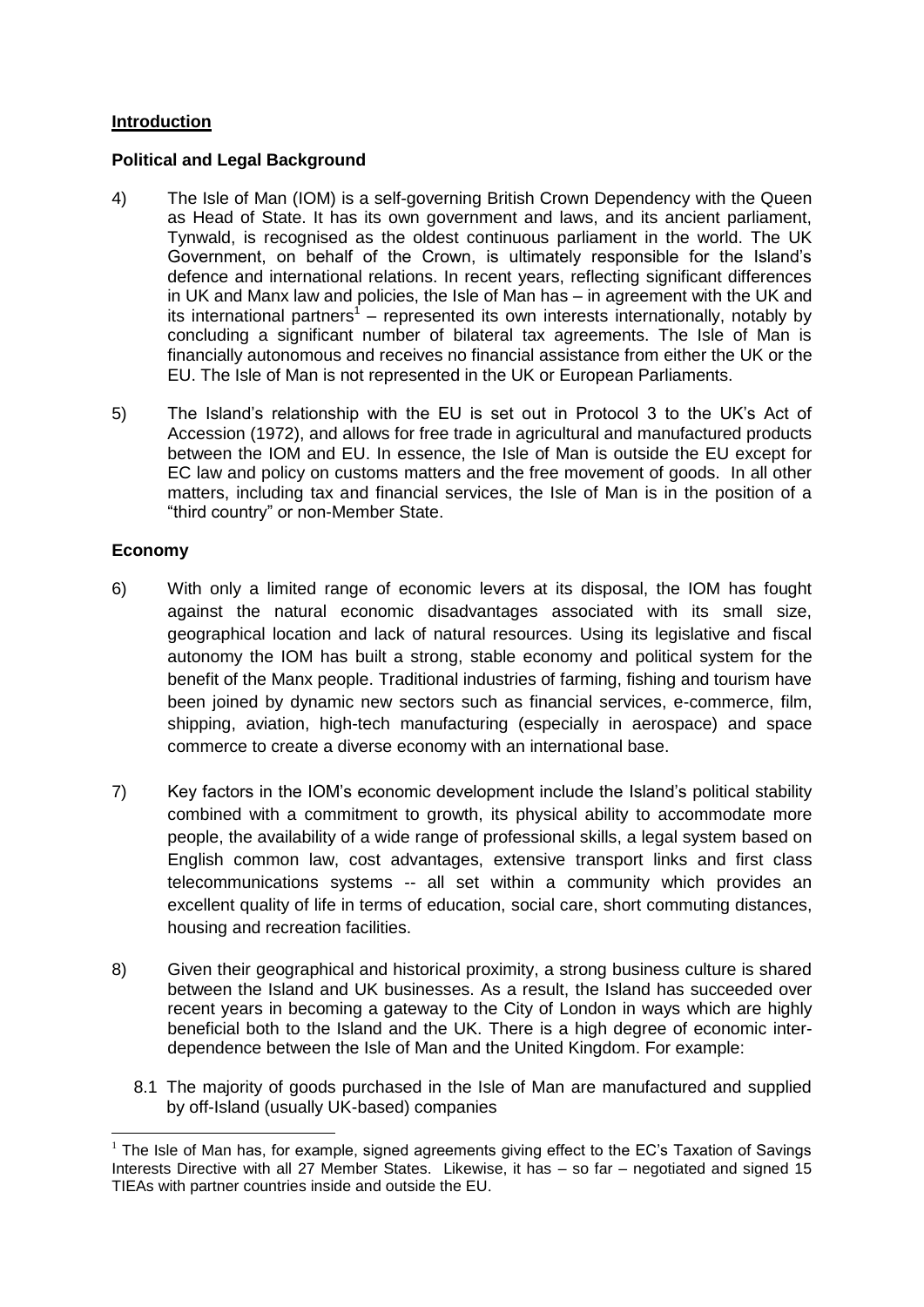### **Introduction**

#### **Political and Legal Background**

- 4) The Isle of Man (IOM) is a self-governing British Crown Dependency with the Queen as Head of State. It has its own government and laws, and its ancient parliament, Tynwald, is recognised as the oldest continuous parliament in the world. The UK Government, on behalf of the Crown, is ultimately responsible for the Island's defence and international relations. In recent years, reflecting significant differences in UK and Manx law and policies, the Isle of Man has – in agreement with the UK and its international partners<sup>1</sup> – represented its own interests internationally, notably by concluding a significant number of bilateral tax agreements. The Isle of Man is financially autonomous and receives no financial assistance from either the UK or the EU. The Isle of Man is not represented in the UK or European Parliaments.
- 5) The Island's relationship with the EU is set out in Protocol 3 to the UK's Act of Accession (1972), and allows for free trade in agricultural and manufactured products between the IOM and EU. In essence, the Isle of Man is outside the EU except for EC law and policy on customs matters and the free movement of goods. In all other matters, including tax and financial services, the Isle of Man is in the position of a "third country" or non-Member State.

#### **Economy**

- 6) With only a limited range of economic levers at its disposal, the IOM has fought against the natural economic disadvantages associated with its small size, geographical location and lack of natural resources. Using its legislative and fiscal autonomy the IOM has built a strong, stable economy and political system for the benefit of the Manx people. Traditional industries of farming, fishing and tourism have been joined by dynamic new sectors such as financial services, e-commerce, film, shipping, aviation, high-tech manufacturing (especially in aerospace) and space commerce to create a diverse economy with an international base.
- 7) Key factors in the IOM's economic development include the Island's political stability combined with a commitment to growth, its physical ability to accommodate more people, the availability of a wide range of professional skills, a legal system based on English common law, cost advantages, extensive transport links and first class telecommunications systems -- all set within a community which provides an excellent quality of life in terms of education, social care, short commuting distances, housing and recreation facilities.
- 8) Given their geographical and historical proximity, a strong business culture is shared between the Island and UK businesses. As a result, the Island has succeeded over recent years in becoming a gateway to the City of London in ways which are highly beneficial both to the Island and the UK. There is a high degree of economic interdependence between the Isle of Man and the United Kingdom. For example:
	- 8.1 The majority of goods purchased in the Isle of Man are manufactured and supplied by off-Island (usually UK-based) companies

<sup>1</sup>  $<sup>1</sup>$  The Isle of Man has, for example, signed agreements giving effect to the EC's Taxation of Savings</sup> Interests Directive with all 27 Member States. Likewise, it has – so far – negotiated and signed 15 TIEAs with partner countries inside and outside the EU.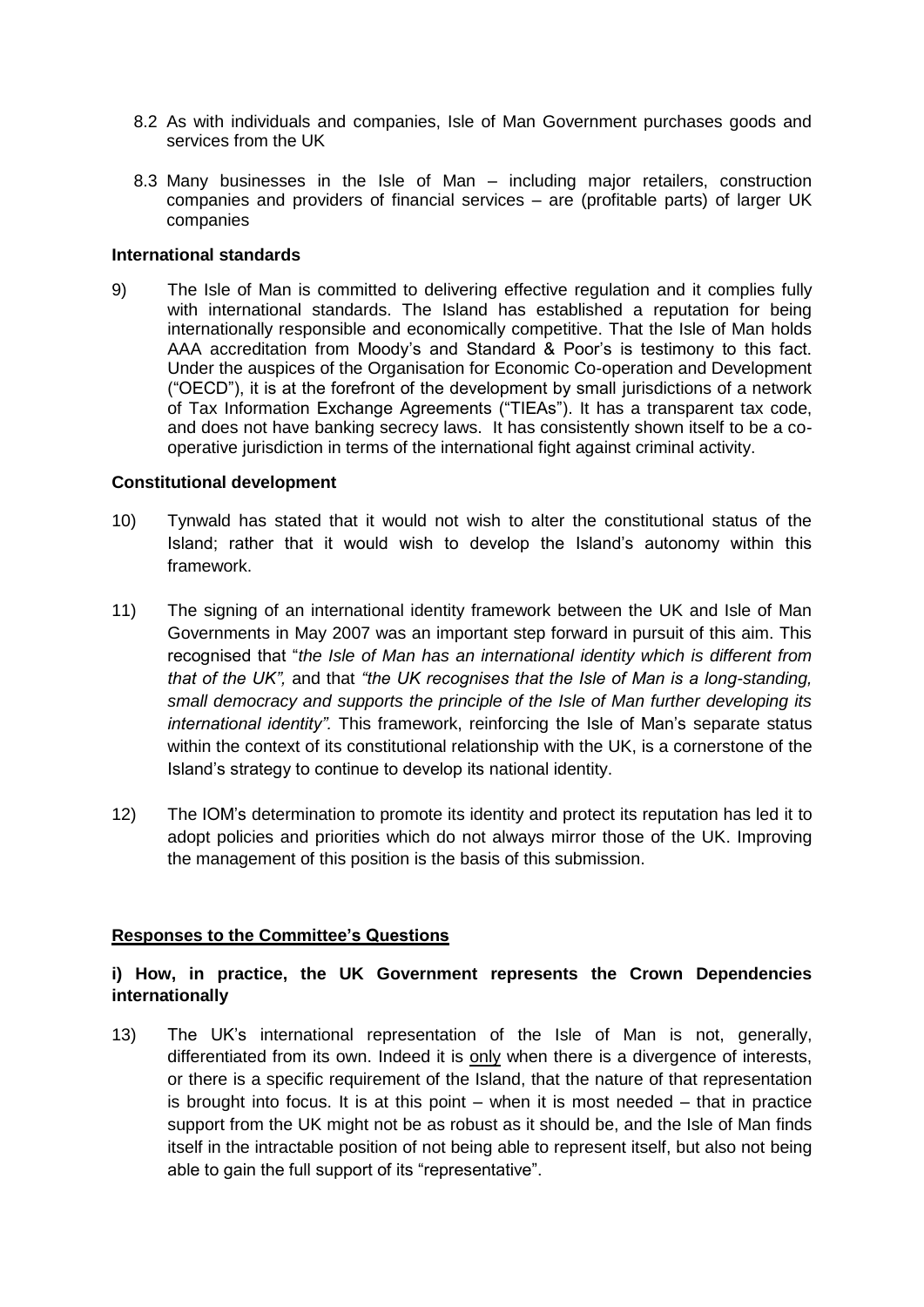- 8.2 As with individuals and companies, Isle of Man Government purchases goods and services from the UK
- 8.3 Many businesses in the Isle of Man including major retailers, construction companies and providers of financial services – are (profitable parts) of larger UK companies

#### **International standards**

9) The Isle of Man is committed to delivering effective regulation and it complies fully with international standards. The Island has established a reputation for being internationally responsible and economically competitive. That the Isle of Man holds AAA accreditation from Moody's and Standard & Poor's is testimony to this fact. Under the auspices of the Organisation for Economic Co-operation and Development ("OECD"), it is at the forefront of the development by small jurisdictions of a network of Tax Information Exchange Agreements ("TIEAs"). It has a transparent tax code, and does not have banking secrecy laws. It has consistently shown itself to be a cooperative jurisdiction in terms of the international fight against criminal activity.

#### **Constitutional development**

- 10) Tynwald has stated that it would not wish to alter the constitutional status of the Island; rather that it would wish to develop the Island's autonomy within this framework.
- 11) The signing of an international identity framework between the UK and Isle of Man Governments in May 2007 was an important step forward in pursuit of this aim. This recognised that "*the Isle of Man has an international identity which is different from that of the UK",* and that *"the UK recognises that the Isle of Man is a long-standing, small democracy and supports the principle of the Isle of Man further developing its international identity".* This framework, reinforcing the Isle of Man's separate status within the context of its constitutional relationship with the UK, is a cornerstone of the Island's strategy to continue to develop its national identity.
- 12) The IOM's determination to promote its identity and protect its reputation has led it to adopt policies and priorities which do not always mirror those of the UK. Improving the management of this position is the basis of this submission.

#### **Responses to the Committee's Questions**

## **i) How, in practice, the UK Government represents the Crown Dependencies internationally**

13) The UK's international representation of the Isle of Man is not, generally, differentiated from its own. Indeed it is only when there is a divergence of interests, or there is a specific requirement of the Island, that the nature of that representation is brought into focus. It is at this point – when it is most needed – that in practice support from the UK might not be as robust as it should be, and the Isle of Man finds itself in the intractable position of not being able to represent itself, but also not being able to gain the full support of its "representative".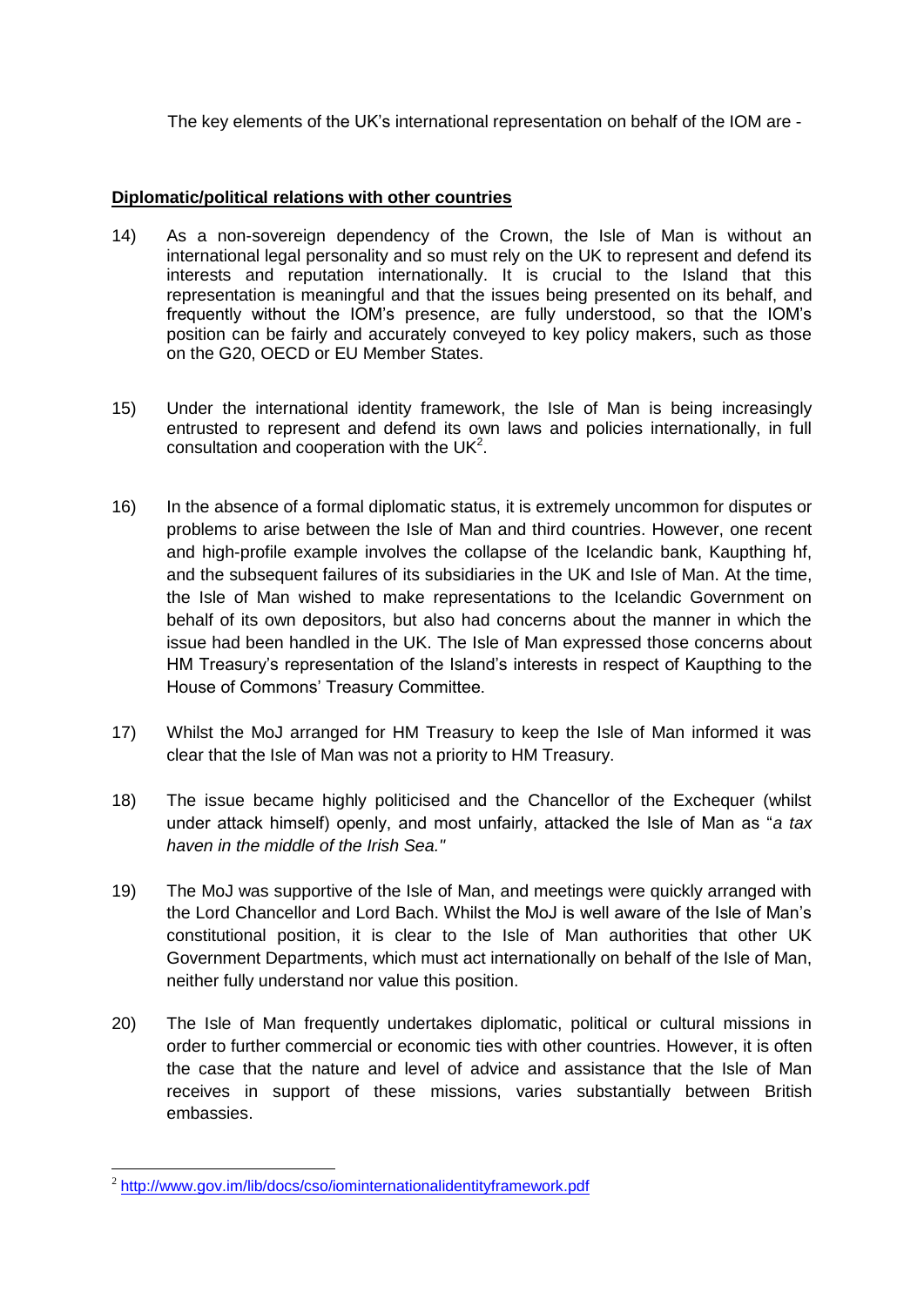The key elements of the UK's international representation on behalf of the IOM are -

# **Diplomatic/political relations with other countries**

- 14) As a non-sovereign dependency of the Crown, the Isle of Man is without an international legal personality and so must rely on the UK to represent and defend its interests and reputation internationally. It is crucial to the Island that this representation is meaningful and that the issues being presented on its behalf, and frequently without the IOM's presence, are fully understood, so that the IOM's position can be fairly and accurately conveyed to key policy makers, such as those on the G20, OECD or EU Member States.
- 15) Under the international identity framework, the Isle of Man is being increasingly entrusted to represent and defend its own laws and policies internationally, in full consultation and cooperation with the UK $2$ .
- 16) In the absence of a formal diplomatic status, it is extremely uncommon for disputes or problems to arise between the Isle of Man and third countries. However, one recent and high-profile example involves the collapse of the Icelandic bank, Kaupthing hf, and the subsequent failures of its subsidiaries in the UK and Isle of Man. At the time, the Isle of Man wished to make representations to the Icelandic Government on behalf of its own depositors, but also had concerns about the manner in which the issue had been handled in the UK. The Isle of Man expressed those concerns about HM Treasury's representation of the Island's interests in respect of Kaupthing to the House of Commons' Treasury Committee.
- 17) Whilst the MoJ arranged for HM Treasury to keep the Isle of Man informed it was clear that the Isle of Man was not a priority to HM Treasury.
- 18) The issue became highly politicised and the Chancellor of the Exchequer (whilst under attack himself) openly, and most unfairly, attacked the Isle of Man as "*a tax haven in the middle of the Irish Sea."*
- 19) The MoJ was supportive of the Isle of Man, and meetings were quickly arranged with the Lord Chancellor and Lord Bach. Whilst the MoJ is well aware of the Isle of Man's constitutional position, it is clear to the Isle of Man authorities that other UK Government Departments, which must act internationally on behalf of the Isle of Man, neither fully understand nor value this position.
- 20) The Isle of Man frequently undertakes diplomatic, political or cultural missions in order to further commercial or economic ties with other countries. However, it is often the case that the nature and level of advice and assistance that the Isle of Man receives in support of these missions, varies substantially between British embassies.

**<sup>.</sup>** <sup>2</sup> <http://www.gov.im/lib/docs/cso/iominternationalidentityframework.pdf>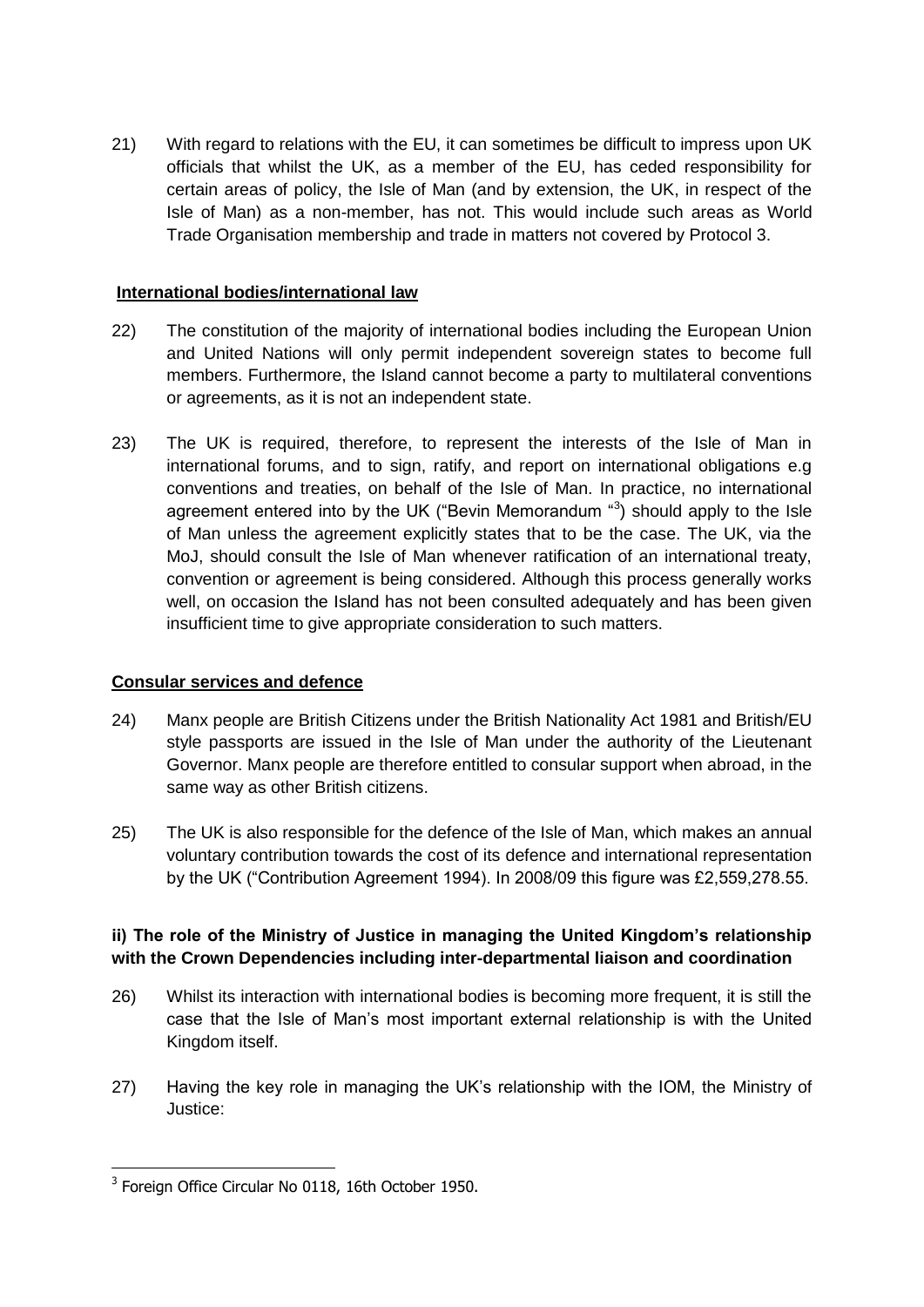21) With regard to relations with the EU, it can sometimes be difficult to impress upon UK officials that whilst the UK, as a member of the EU, has ceded responsibility for certain areas of policy, the Isle of Man (and by extension, the UK, in respect of the Isle of Man) as a non-member, has not. This would include such areas as World Trade Organisation membership and trade in matters not covered by Protocol 3.

### **International bodies/international law**

- 22) The constitution of the majority of international bodies including the European Union and United Nations will only permit independent sovereign states to become full members. Furthermore, the Island cannot become a party to multilateral conventions or agreements, as it is not an independent state.
- 23) The UK is required, therefore, to represent the interests of the Isle of Man in international forums, and to sign, ratify, and report on international obligations e.g conventions and treaties, on behalf of the Isle of Man. In practice, no international agreement entered into by the UK ("Bevin Memorandum "3) should apply to the Isle of Man unless the agreement explicitly states that to be the case. The UK, via the MoJ, should consult the Isle of Man whenever ratification of an international treaty, convention or agreement is being considered. Although this process generally works well, on occasion the Island has not been consulted adequately and has been given insufficient time to give appropriate consideration to such matters.

#### **Consular services and defence**

- 24) Manx people are British Citizens under the British Nationality Act 1981 and British/EU style passports are issued in the Isle of Man under the authority of the Lieutenant Governor. Manx people are therefore entitled to consular support when abroad, in the same way as other British citizens.
- 25) The UK is also responsible for the defence of the Isle of Man, which makes an annual voluntary contribution towards the cost of its defence and international representation by the UK ("Contribution Agreement 1994). In 2008/09 this figure was £2,559,278.55.

# **ii) The role of the Ministry of Justice in managing the United Kingdom's relationship with the Crown Dependencies including inter-departmental liaison and coordination**

- 26) Whilst its interaction with international bodies is becoming more frequent, it is still the case that the Isle of Man's most important external relationship is with the United Kingdom itself.
- 27) Having the key role in managing the UK's relationship with the IOM, the Ministry of Justice:

**<sup>.</sup>** <sup>3</sup> Foreign Office Circular No 0118, 16th October 1950.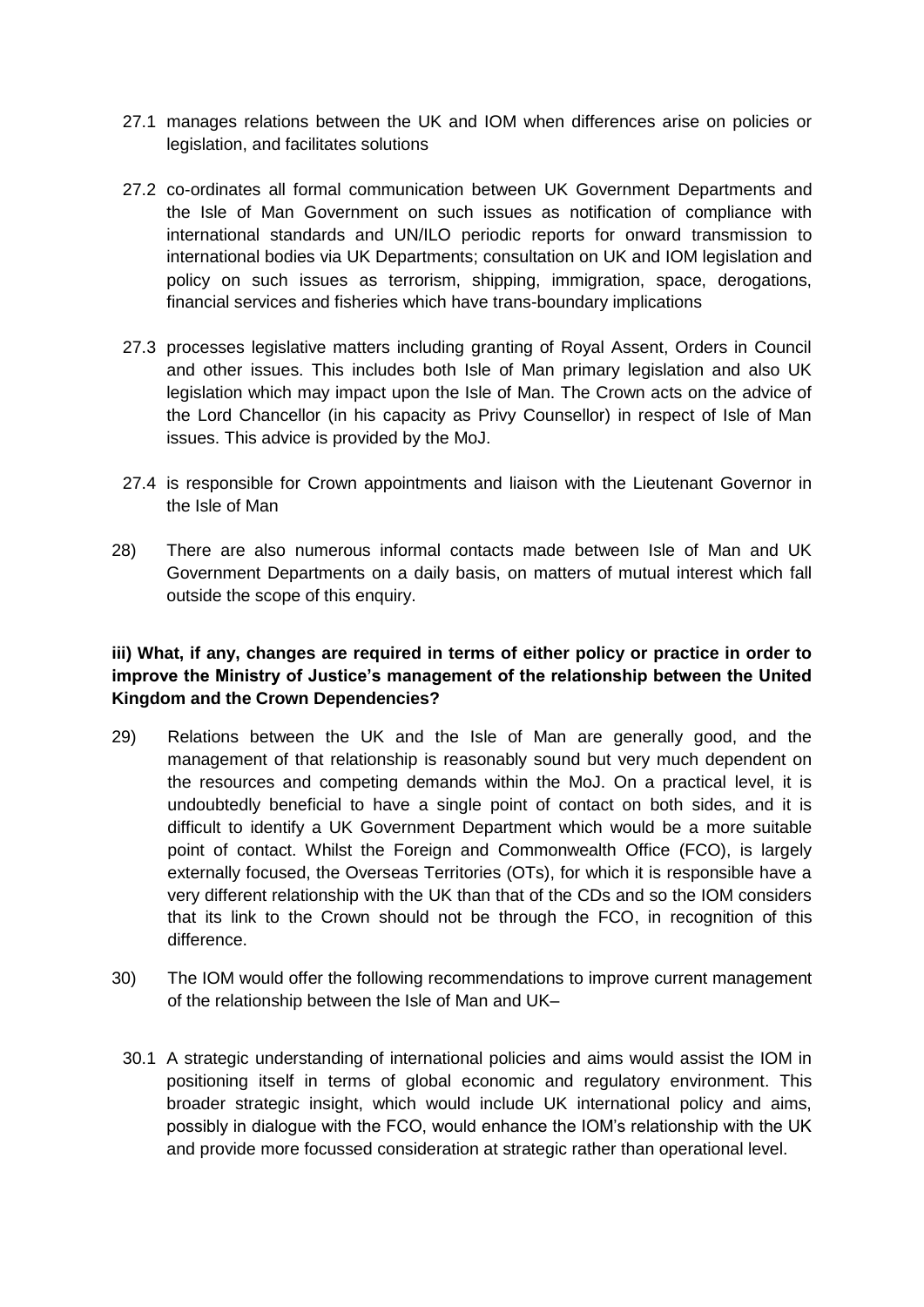- 27.1 manages relations between the UK and IOM when differences arise on policies or legislation, and facilitates solutions
- 27.2 co-ordinates all formal communication between UK Government Departments and the Isle of Man Government on such issues as notification of compliance with international standards and UN/ILO periodic reports for onward transmission to international bodies via UK Departments; consultation on UK and IOM legislation and policy on such issues as terrorism, shipping, immigration, space, derogations, financial services and fisheries which have trans-boundary implications
- 27.3 processes legislative matters including granting of Royal Assent, Orders in Council and other issues. This includes both Isle of Man primary legislation and also UK legislation which may impact upon the Isle of Man. The Crown acts on the advice of the Lord Chancellor (in his capacity as Privy Counsellor) in respect of Isle of Man issues. This advice is provided by the MoJ.
- 27.4 is responsible for Crown appointments and liaison with the Lieutenant Governor in the Isle of Man
- 28) There are also numerous informal contacts made between Isle of Man and UK Government Departments on a daily basis, on matters of mutual interest which fall outside the scope of this enquiry.

# **iii) What, if any, changes are required in terms of either policy or practice in order to improve the Ministry of Justice's management of the relationship between the United Kingdom and the Crown Dependencies?**

- 29) Relations between the UK and the Isle of Man are generally good, and the management of that relationship is reasonably sound but very much dependent on the resources and competing demands within the MoJ. On a practical level, it is undoubtedly beneficial to have a single point of contact on both sides, and it is difficult to identify a UK Government Department which would be a more suitable point of contact. Whilst the Foreign and Commonwealth Office (FCO), is largely externally focused, the Overseas Territories (OTs), for which it is responsible have a very different relationship with the UK than that of the CDs and so the IOM considers that its link to the Crown should not be through the FCO, in recognition of this difference.
- 30) The IOM would offer the following recommendations to improve current management of the relationship between the Isle of Man and UK–
	- 30.1 A strategic understanding of international policies and aims would assist the IOM in positioning itself in terms of global economic and regulatory environment. This broader strategic insight, which would include UK international policy and aims, possibly in dialogue with the FCO, would enhance the IOM's relationship with the UK and provide more focussed consideration at strategic rather than operational level.